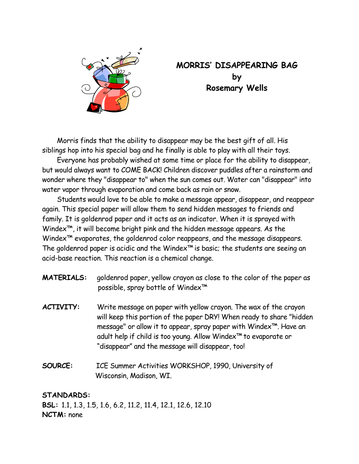

## **MORRIS' DISAPPEARING BAG by Rosemary Wells**

Morris finds that the ability to disappear may be the best gift of all. His siblings hop into his special bag and he finally is able to play with all their toys.

Everyone has probably wished at some time or place for the ability to disappear, but would always want to COME BACK! Children discover puddles after a rainstorm and wonder where they "disappear to" when the sun comes out. Water can "disappear" into water vapor through evaporation and come back as rain or snow.

Students would love to be able to make a message appear, disappear, and reappear again. This special paper will allow them to send hidden messages to friends and family. It is goldenrod paper and it acts as an indicator. When it is sprayed with Windex™, it will become bright pink and the hidden message appears. As the Windex<sup>™</sup> evaporates, the goldenrod color reappears, and the message disappears. The goldenrod paper is acidic and the Windex™ is basic; the students are seeing an acid-base reaction. This reaction is a chemical change.

- **MATERIALS:** goldenrod paper, yellow crayon as close to the color of the paper as possible, spray bottle of Windex<sup>™</sup>
- **ACTIVITY:** Write message on paper with yellow crayon. The wax of the crayon will keep this portion of the paper DRY! When ready to share "hidden message" or allow it to appear, spray paper with Windex™. Have an adult help if child is too young. Allow Windex™ to evaporate or "disappear" and the message will disappear, too!
- **SOURCE:** ICE Summer Activities WORKSHOP, 1990, University of Wisconsin, Madison, WI.

**STANDARDS:** 

**BSL:** 1.1, 1.3, 1.5, 1.6, 6.2, 11.2, 11.4, 12.1, 12.6, 12.10 **NCTM:** none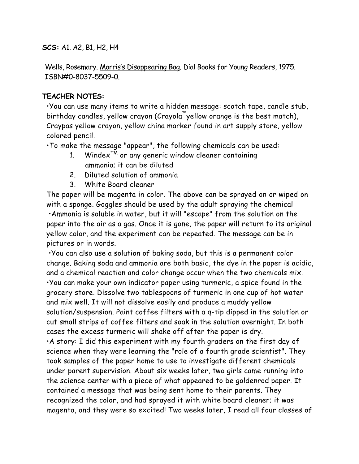**SCS:** A1. A2, B1, H2, H4

Wells, Rosemary. Morris's Disappearing Bag. Dial Books for Young Readers, 1975. ISBN#0-8037-5509-0.

## **TEACHER NOTES:**

•You can use many items to write a hidden message: scotch tape, candle stub, birthday candles, yellow crayon (Crayola™yellow orange is the best match), Craypas yellow crayon, yellow china marker found in art supply store, yellow colored pencil.

•To make the message "appear", the following chemicals can be used:

- 1. Windex<sup>TM</sup> or any generic window cleaner containing ammonia; it can be diluted
- 2. Diluted solution of ammonia
- 3. White Board cleaner

The paper will be magenta in color. The above can be sprayed on or wiped on with a sponge. Goggles should be used by the adult spraying the chemical •Ammonia is soluble in water, but it will "escape" from the solution on the paper into the air as a gas. Once it is gone, the paper will return to its original yellow color, and the experiment can be repeated. The message can be in pictures or in words.

•You can also use a solution of baking soda, but this is a permanent color change. Baking soda and ammonia are both basic, the dye in the paper is acidic, and a chemical reaction and color change occur when the two chemicals mix. •You can make your own indicator paper using turmeric, a spice found in the grocery store. Dissolve two tablespoons of turmeric in one cup of hot water and mix well. It will not dissolve easily and produce a muddy yellow solution/suspension. Paint coffee filters with a q-tip dipped in the solution or cut small strips of coffee filters and soak in the solution overnight. In both cases the excess turmeric will shake off after the paper is dry.

•A story: I did this experiment with my fourth graders on the first day of science when they were learning the "role of a fourth grade scientist". They took samples of the paper home to use to investigate different chemicals under parent supervision. About six weeks later, two girls came running into the science center with a piece of what appeared to be goldenrod paper. It contained a message that was being sent home to their parents. They recognized the color, and had sprayed it with white board cleaner; it was magenta, and they were so excited! Two weeks later, I read all four classes of